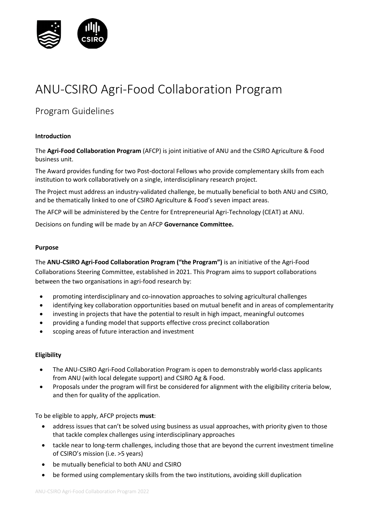

# ANU-CSIRO Agri-Food Collaboration Program

# Program Guidelines

#### **Introduction**

The **Agri-Food Collaboration Program** (AFCP) is joint initiative of ANU and the CSIRO Agriculture & Food business unit.

The Award provides funding for two Post-doctoral Fellows who provide complementary skills from each institution to work collaboratively on a single, interdisciplinary research project.

The Project must address an industry-validated challenge, be mutually beneficial to both ANU and CSIRO, and be thematically linked to one of CSIRO Agriculture & Food's seven impact areas.

The AFCP will be administered by the Centre for Entrepreneurial Agri-Technology (CEAT) at ANU.

Decisions on funding will be made by an AFCP **Governance Committee.** 

#### **Purpose**

The **ANU-CSIRO Agri-Food Collaboration Program ("the Program")** is an initiative of the Agri-Food Collaborations Steering Committee, established in 2021. This Program aims to support collaborations between the two organisations in agri-food research by:

- promoting interdisciplinary and co-innovation approaches to solving agricultural challenges
- identifying key collaboration opportunities based on mutual benefit and in areas of complementarity
- investing in projects that have the potential to result in high impact, meaningful outcomes
- providing a funding model that supports effective cross precinct collaboration
- scoping areas of future interaction and investment

#### **Eligibility**

- The ANU-CSIRO Agri-Food Collaboration Program is open to demonstrably world-class applicants from ANU (with local delegate support) and CSIRO Ag & Food.
- Proposals under the program will first be considered for alignment with the eligibility criteria below, and then for quality of the application.

To be eligible to apply, AFCP projects **must**:

- address issues that can't be solved using business as usual approaches, with priority given to those that tackle complex challenges using interdisciplinary approaches
- tackle near to long-term challenges, including those that are beyond the current investment timeline of CSIRO's mission (i.e. >5 years)
- be mutually beneficial to both ANU and CSIRO
- be formed using complementary skills from the two institutions, avoiding skill duplication